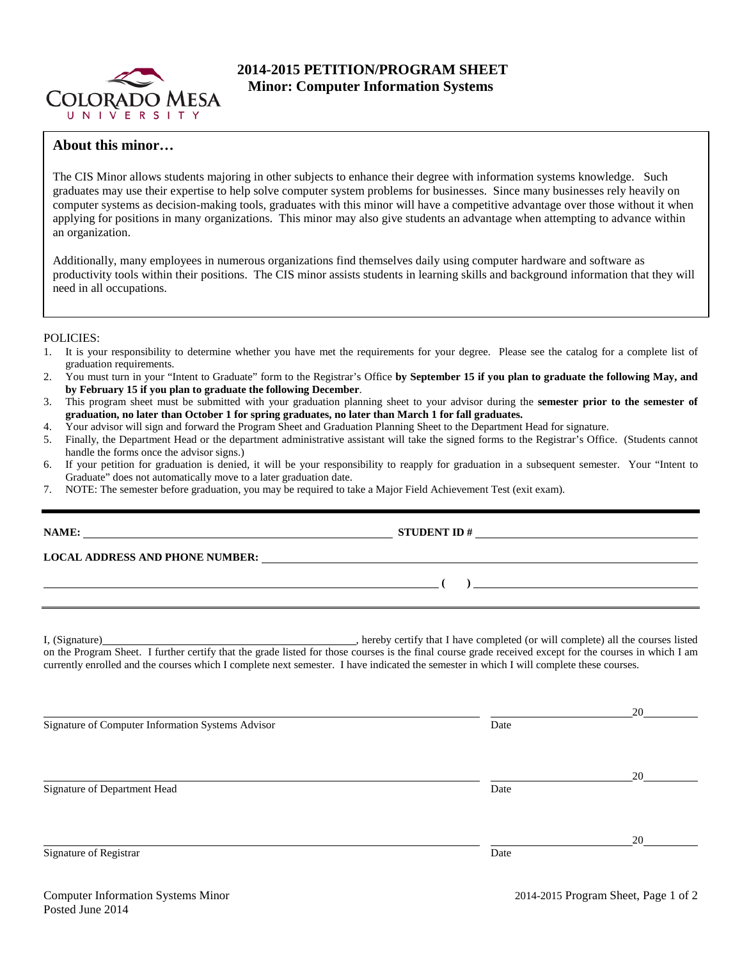

## **2014-2015 PETITION/PROGRAM SHEET Minor: Computer Information Systems**

## **About this minor…**

The CIS Minor allows students majoring in other subjects to enhance their degree with information systems knowledge. Such graduates may use their expertise to help solve computer system problems for businesses. Since many businesses rely heavily on computer systems as decision-making tools, graduates with this minor will have a competitive advantage over those without it when applying for positions in many organizations. This minor may also give students an advantage when attempting to advance within an organization.

Additionally, many employees in numerous organizations find themselves daily using computer hardware and software as productivity tools within their positions. The CIS minor assists students in learning skills and background information that they will need in all occupations.

## POLICIES:

- 1. It is your responsibility to determine whether you have met the requirements for your degree. Please see the catalog for a complete list of graduation requirements.
- 2. You must turn in your "Intent to Graduate" form to the Registrar's Office **by September 15 if you plan to graduate the following May, and by February 15 if you plan to graduate the following December**.
- 3. This program sheet must be submitted with your graduation planning sheet to your advisor during the **semester prior to the semester of graduation, no later than October 1 for spring graduates, no later than March 1 for fall graduates.**
- 4. Your advisor will sign and forward the Program Sheet and Graduation Planning Sheet to the Department Head for signature.
- 5. Finally, the Department Head or the department administrative assistant will take the signed forms to the Registrar's Office. (Students cannot handle the forms once the advisor signs.)
- 6. If your petition for graduation is denied, it will be your responsibility to reapply for graduation in a subsequent semester. Your "Intent to Graduate" does not automatically move to a later graduation date.
- 7. NOTE: The semester before graduation, you may be required to take a Major Field Achievement Test (exit exam).

| <u> Albanya di Barat di Barat di Barat di Barat di Barat di Barat di Barat di Barat di Barat di Barat di Barat d</u>                                                                                                                                                                                |      | $\begin{picture}(20,10) \put(0,0){\vector(1,0){100}} \put(15,0){\vector(1,0){100}} \put(15,0){\vector(1,0){100}} \put(15,0){\vector(1,0){100}} \put(15,0){\vector(1,0){100}} \put(15,0){\vector(1,0){100}} \put(15,0){\vector(1,0){100}} \put(15,0){\vector(1,0){100}} \put(15,0){\vector(1,0){100}} \put(15,0){\vector(1,0){100}} \put(15,0){\vector(1,0){100}} \$ |  |  |  |  |
|-----------------------------------------------------------------------------------------------------------------------------------------------------------------------------------------------------------------------------------------------------------------------------------------------------|------|---------------------------------------------------------------------------------------------------------------------------------------------------------------------------------------------------------------------------------------------------------------------------------------------------------------------------------------------------------------------|--|--|--|--|
|                                                                                                                                                                                                                                                                                                     |      |                                                                                                                                                                                                                                                                                                                                                                     |  |  |  |  |
| on the Program Sheet. I further certify that the grade listed for those courses is the final course grade received except for the courses in which I am<br>currently enrolled and the courses which I complete next semester. I have indicated the semester in which I will complete these courses. |      |                                                                                                                                                                                                                                                                                                                                                                     |  |  |  |  |
|                                                                                                                                                                                                                                                                                                     |      |                                                                                                                                                                                                                                                                                                                                                                     |  |  |  |  |
| Signature of Computer Information Systems Advisor                                                                                                                                                                                                                                                   | Date |                                                                                                                                                                                                                                                                                                                                                                     |  |  |  |  |
|                                                                                                                                                                                                                                                                                                     |      |                                                                                                                                                                                                                                                                                                                                                                     |  |  |  |  |

Signature of Department Head Date

20

Signature of Registrar Date and Separature of Registrar Date and Separature of Registrar Date

20